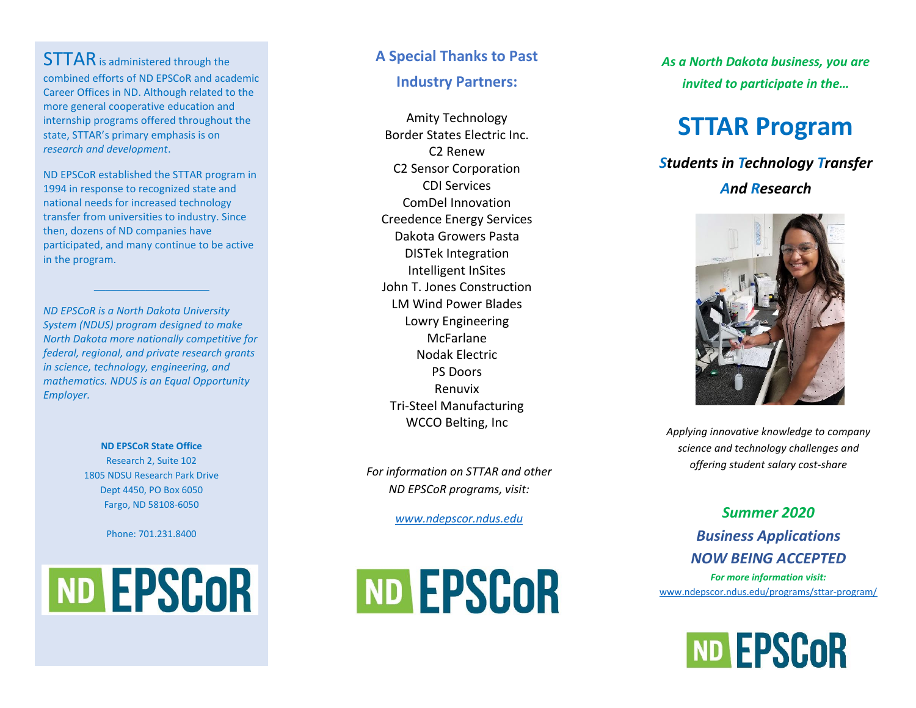**STTAR** is administered through the combined efforts of ND EPSCoR and academic Career Offices in ND. Although related to the more general cooperative education and internship programs offered throughout the state, STTAR's primary emphasis is on *research and development* .

ND EPSCoR established the STTAR program in 1994 in response to recognized state and national needs for increased technology transfer from universities to industry. Since then, dozens of ND companies have participated, and many continue to be active in the program.

 $\mathcal{L}=\{1,2,3,4,5\}$ 

*ND EPSCoR is a North Dakota University System (NDUS) program designed to make North Dakota more nationally competitive for federal, regional, a nd private research grants in science, technology, engineering, and mathematics. NDUS is an Equal Opportunity Employer.* 

> **ND EPSCoR State Office** Research 2, Suite 1 0 2 1805 NDSU Research Park Drive Dept 4450, PO Box 6050 Fargo, ND 58108 -6050

> > Phone: 701.231.8400



#### **A Special Thanks to Past**

#### **Industry Partners:**

Amity Technology Border States Electric Inc. C2 Renew C2 Sensor Corporation CDI Services ComDel Innovation Creedence Energy Services Dakota Growers Pasta DISTek Integration Intelligent InSites John T. Jones Construction LM Wind Power Blades Lowry Engineering McFarlane Nodak Electric PS Doors Renuvix Tri -Steel Manufacturing WCCO Belting, Inc

*For information on STTAR and other ND EPSCoR programs, visit :*

*[www.ndepscor.ndus.edu](http://www.ndepscor.ndus.edu/)*



*As a North Dakota business, you are invited to participate in the…*

# **STTAR Program**

*Students in Technology Transfer And Research*



*Applying innovative knowledge to company science and technology challenges and offering student salary cost -share*

*Summer 2020 Business Applications NOW BEING ACCEPTED For more information visit:* [www.ndepscor.ndus.edu/programs/sttar](http://www.ndepscor.ndus.edu/programs/sttar-program/) -program/